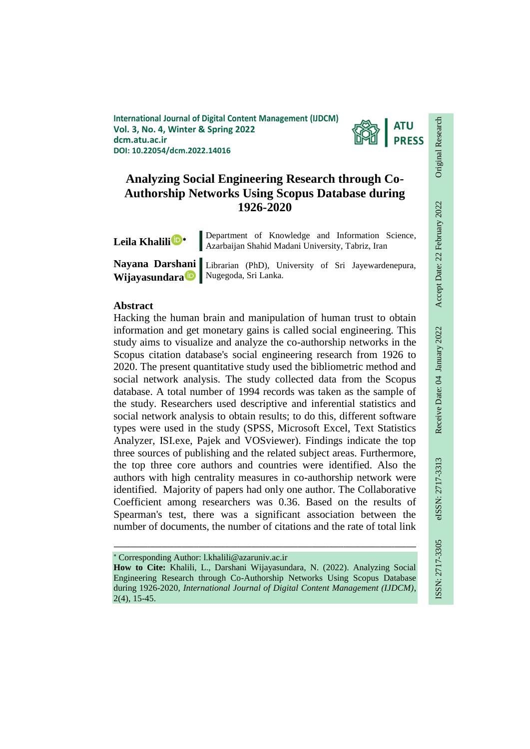**International Journal of Digital Content Management (IJDCM) Vol. 3, No. 4, Winter & Spring 2022 dcm.atu.ac.ir DOI: 10.22054/dcm.2022.14016**



# **Analyzing Social Engineering Research through Co-Authorship Networks Using Scopus Database during 1926-2020**

|  | Leila Khalili D* |
|--|------------------|
|--|------------------|

Department of Knowledge and Information Science, Azarbaijan Shahid Madani University, Tabriz, Iran

**Wijayasundar[a](mailto:https://orcid.org/0000-0001-6487-2498)** Nugegoda, Sri Lanka.

**Nayana Darshani**  Librarian (PhD), University of Sri Jayewardenepura,

### **Abstract**

Hacking the human brain and manipulation of human trust to obtain information and get monetary gains is called social engineering. This study aims to visualize and analyze the co-authorship networks in the Scopus citation database's social engineering research from 1926 to 2020. The present quantitative study used the bibliometric method and social network analysis. The study collected data from the Scopus database. A total number of 1994 records was taken as the sample of the study. Researchers used descriptive and inferential statistics and social network analysis to obtain results; to do this, different software types were used in the study (SPSS, Microsoft Excel, Text Statistics Analyzer, ISI.exe, Pajek and VOSviewer). Findings indicate the top three sources of publishing and the related subject areas. Furthermore, the top three core authors and countries were identified. Also the authors with high centrality measures in co-authorship network were identified. Majority of papers had only one author. The Collaborative Coefficient among researchers was 0.36. Based on the results of Spearman's test, there was a significant association between the number of documents, the number of citations and the rate of total link

Corresponding Author: l.khalili@azaruniv.ac.ir

**How to Cite:** Khalili, L., Darshani Wijayasundara, N. (2022). Analyzing Social Engineering Research through Co-Authorship Networks Using Scopus Database during 1926-2020, *International Journal of Digital Content Management (IJDCM)*, 2(4), 15-45.

ـــــــــــــــــــــــــــــــــــــــــــــــــــــــــــــــــــــــــــــــــــــــــــــــــــــــــــــــــــــــــــــ

Original Research

Original Research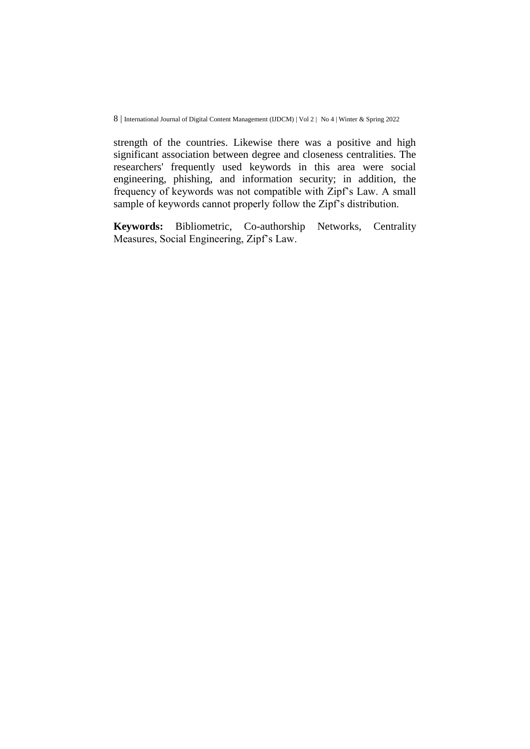strength of the countries. Likewise there was a positive and high significant association between degree and closeness centralities. The researchers' frequently used keywords in this area were social engineering, phishing, and information security; in addition, the frequency of keywords was not compatible with Zipf's Law. A small sample of keywords cannot properly follow the Zipf's distribution.

**Keywords:** Bibliometric, Co-authorship Networks, Centrality Measures, Social Engineering, Zipf's Law.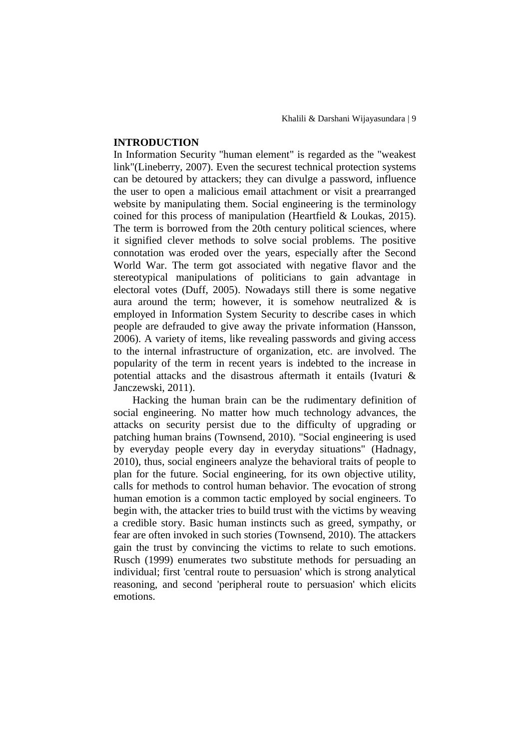#### **INTRODUCTION**

In Information Security "human element" is regarded as the "weakest link"(Lineberry, 2007). Even the securest technical protection systems can be detoured by attackers; they can divulge a password, influence the user to open a malicious email attachment or visit a prearranged website by manipulating them. Social engineering is the terminology coined for this process of manipulation (Heartfield & Loukas, 2015). The term is borrowed from the 20th century political sciences, where it signified clever methods to solve social problems. The positive connotation was eroded over the years, especially after the Second World War. The term got associated with negative flavor and the stereotypical manipulations of politicians to gain advantage in electoral votes (Duff, 2005). Nowadays still there is some negative aura around the term; however, it is somehow neutralized  $\&$  is employed in Information System Security to describe cases in which people are defrauded to give away the private information (Hansson, 2006). A variety of items, like revealing passwords and giving access to the internal infrastructure of organization, etc. are involved. The popularity of the term in recent years is indebted to the increase in potential attacks and the disastrous aftermath it entails (Ivaturi & Janczewski, 2011).

Hacking the human brain can be the rudimentary definition of social engineering. No matter how much technology advances, the attacks on security persist due to the difficulty of upgrading or patching human brains (Townsend, 2010). "Social engineering is used by everyday people every day in everyday situations" (Hadnagy, 2010), thus, social engineers analyze the behavioral traits of people to plan for the future. Social engineering, for its own objective utility, calls for methods to control human behavior. The evocation of strong human emotion is a common tactic employed by social engineers. To begin with, the attacker tries to build trust with the victims by weaving a credible story. Basic human instincts such as greed, sympathy, or fear are often invoked in such stories (Townsend, 2010). The attackers gain the trust by convincing the victims to relate to such emotions. Rusch (1999) enumerates two substitute methods for persuading an individual; first 'central route to persuasion' which is strong analytical reasoning, and second 'peripheral route to persuasion' which elicits emotions.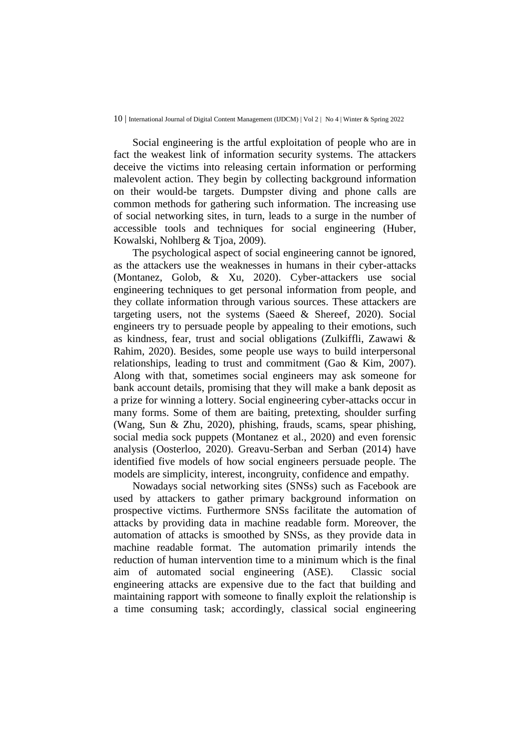Social engineering is the artful exploitation of people who are in fact the weakest link of information security systems. The attackers deceive the victims into releasing certain information or performing malevolent action. They begin by collecting background information on their would-be targets. Dumpster diving and phone calls are common methods for gathering such information. The increasing use of social networking sites, in turn, leads to a surge in the number of accessible tools and techniques for social engineering (Huber, Kowalski, Nohlberg & Tjoa, 2009).

The psychological aspect of social engineering cannot be ignored, as the attackers use the weaknesses in humans in their cyber-attacks (Montanez, Golob, & Xu, 2020). Cyber-attackers use social engineering techniques to get personal information from people, and they collate information through various sources. These attackers are targeting users, not the systems (Saeed & Shereef, 2020). Social engineers try to persuade people by appealing to their emotions, such as kindness, fear, trust and social obligations (Zulkiffli, Zawawi & Rahim, 2020). Besides, some people use ways to build interpersonal relationships, leading to trust and commitment (Gao & Kim, 2007). Along with that, sometimes social engineers may ask someone for bank account details, promising that they will make a bank deposit as a prize for winning a lottery. Social engineering cyber-attacks occur in many forms. Some of them are baiting, pretexting, shoulder surfing (Wang, Sun & Zhu, 2020), phishing, frauds, scams, spear phishing, social media sock puppets (Montanez et al., 2020) and even forensic analysis (Oosterloo, 2020). Greavu-Serban and Serban (2014) have identified five models of how social engineers persuade people. The models are simplicity, interest, incongruity, confidence and empathy.

Nowadays social networking sites (SNSs) such as Facebook are used by attackers to gather primary background information on prospective victims. Furthermore SNSs facilitate the automation of attacks by providing data in machine readable form. Moreover, the automation of attacks is smoothed by SNSs, as they provide data in machine readable format. The automation primarily intends the reduction of human intervention time to a minimum which is the final aim of automated social engineering (ASE). Classic social engineering attacks are expensive due to the fact that building and maintaining rapport with someone to finally exploit the relationship is a time consuming task; accordingly, classical social engineering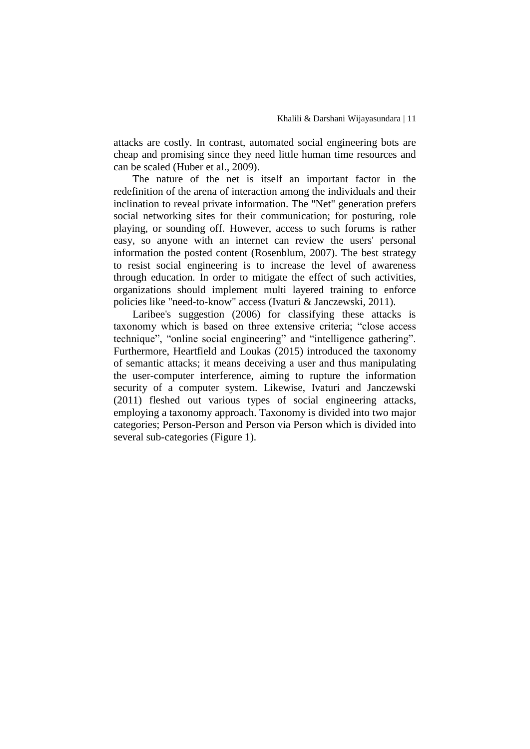attacks are costly. In contrast, automated social engineering bots are cheap and promising since they need little human time resources and can be scaled (Huber et al., 2009).

The nature of the net is itself an important factor in the redefinition of the arena of interaction among the individuals and their inclination to reveal private information. The "Net" generation prefers social networking sites for their communication; for posturing, role playing, or sounding off. However, access to such forums is rather easy, so anyone with an internet can review the users' personal information the posted content (Rosenblum, 2007). The best strategy to resist social engineering is to increase the level of awareness through education. In order to mitigate the effect of such activities, organizations should implement multi layered training to enforce policies like "need-to-know" access (Ivaturi & Janczewski, 2011).

Laribee's suggestion (2006) for classifying these attacks is taxonomy which is based on three extensive criteria; "close access technique", "online social engineering" and "intelligence gathering". Furthermore, Heartfield and Loukas (2015) introduced the taxonomy of semantic attacks; it means deceiving a user and thus manipulating the user-computer interference, aiming to rupture the information security of a computer system. Likewise, Ivaturi and Janczewski (2011) fleshed out various types of social engineering attacks, employing a taxonomy approach. Taxonomy is divided into two major categories; Person-Person and Person via Person which is divided into several sub-categories (Figure 1).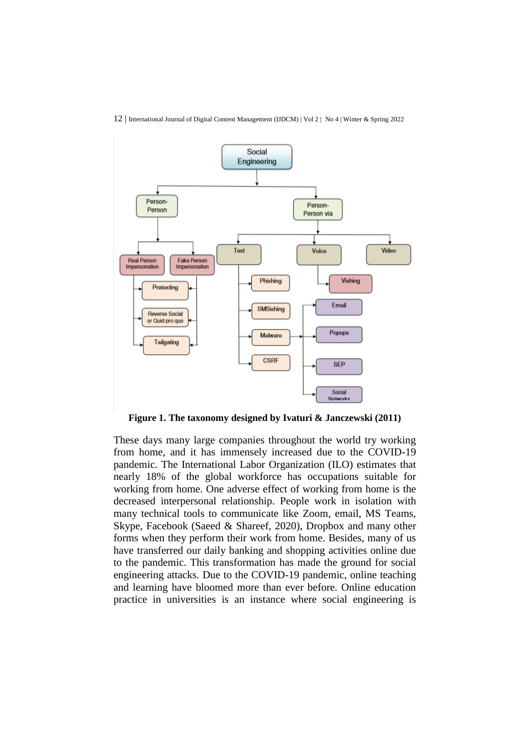

12 | International Journal of Digital Content Management (IJDCM) | Vol 2 | No 4 | Winter & Spring 2022

**Figure 1. The taxonomy designed by Ivaturi & Janczewski (2011)**

These days many large companies throughout the world try working from home, and it has immensely increased due to the COVID-19 pandemic. The International Labor Organization (ILO) estimates that nearly 18% of the global workforce has occupations suitable for working from home. One adverse effect of working from home is the decreased interpersonal relationship. People work in isolation with many technical tools to communicate like Zoom, email, MS Teams, Skype, Facebook (Saeed & Shareef, 2020), Dropbox and many other forms when they perform their work from home. Besides, many of us have transferred our daily banking and shopping activities online due to the pandemic. This transformation has made the ground for social engineering attacks. Due to the COVID-19 pandemic, online teaching and learning have bloomed more than ever before. Online education practice in universities is an instance where social engineering is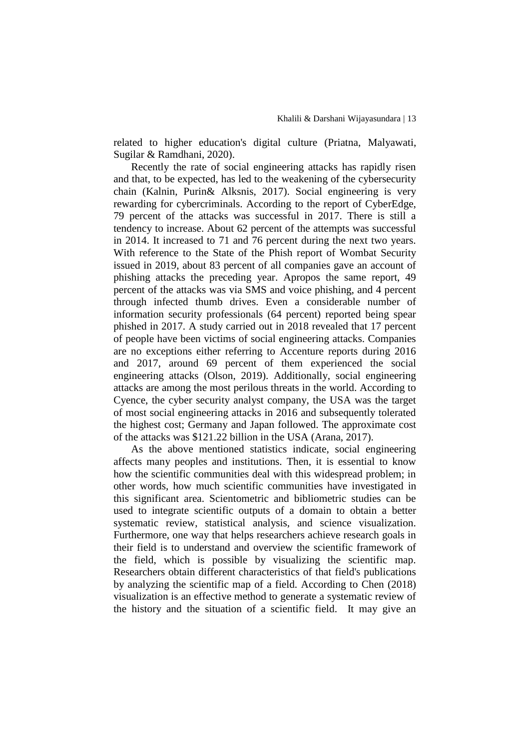related to higher education's digital culture (Priatna, Malyawati, Sugilar & Ramdhani, 2020).

Recently the rate of social engineering attacks has rapidly risen and that, to be expected, has led to the weakening of the cybersecurity chain (Kalnin, Purin& Alksnis, 2017). Social engineering is very rewarding for cybercriminals. According to the report of CyberEdge, 79 percent of the attacks was successful in 2017. There is still a tendency to increase. About 62 percent of the attempts was successful in 2014. It increased to 71 and 76 percent during the next two years. With reference to the State of the Phish report of Wombat Security issued in 2019, about 83 percent of all companies gave an account of phishing attacks the preceding year. Apropos the same report, 49 percent of the attacks was via SMS and voice phishing, and 4 percent through infected thumb drives. Even a considerable number of information security professionals (64 percent) reported being spear phished in 2017. A study carried out in 2018 revealed that 17 percent of people have been victims of social engineering attacks. Companies are no exceptions either referring to Accenture reports during 2016 and 2017, around 69 percent of them experienced the social engineering attacks (Olson, 2019). Additionally, social engineering attacks are among the most perilous threats in the world. According to Cyence, the cyber security analyst company, the USA was the target of most social engineering attacks in 2016 and subsequently tolerated the highest cost; Germany and Japan followed. The approximate cost of the attacks was \$121.22 billion in the USA (Arana, 2017).

As the above mentioned statistics indicate, social engineering affects many peoples and institutions. Then, it is essential to know how the scientific communities deal with this widespread problem; in other words, how much scientific communities have investigated in this significant area. Scientometric and bibliometric studies can be used to integrate scientific outputs of a domain to obtain a better systematic review, statistical analysis, and science visualization. Furthermore, one way that helps researchers achieve research goals in their field is to understand and overview the scientific framework of the field, which is possible by visualizing the scientific map. Researchers obtain different characteristics of that field's publications by analyzing the scientific map of a field. According to Chen (2018) visualization is an effective method to generate a systematic review of the history and the situation of a scientific field. It may give an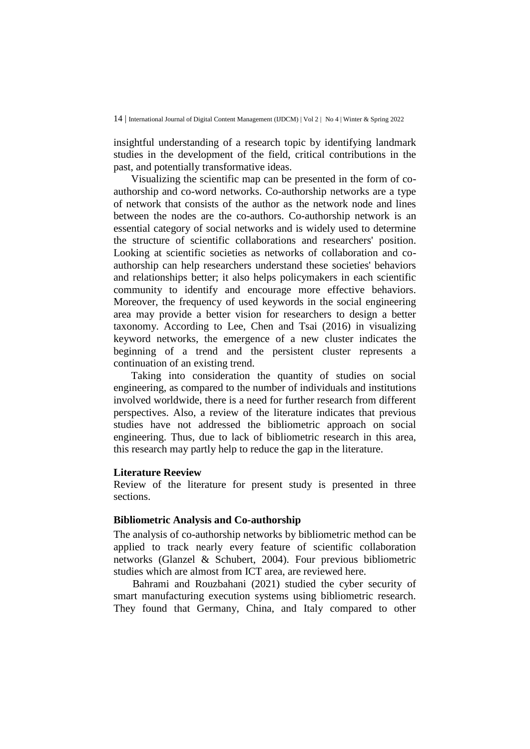insightful understanding of a research topic by identifying landmark studies in the development of the field, critical contributions in the past, and potentially transformative ideas.

Visualizing the scientific map can be presented in the form of coauthorship and co-word networks. Co-authorship networks are a type of network that consists of the author as the network node and lines between the nodes are the co-authors. Co-authorship network is an essential category of social networks and is widely used to determine the structure of scientific collaborations and researchers' position. Looking at scientific societies as networks of collaboration and coauthorship can help researchers understand these societies' behaviors and relationships better; it also helps policymakers in each scientific community to identify and encourage more effective behaviors. Moreover, the frequency of used keywords in the social engineering area may provide a better vision for researchers to design a better taxonomy. According to Lee, Chen and Tsai (2016) in visualizing keyword networks, the emergence of a new cluster indicates the beginning of a trend and the persistent cluster represents a continuation of an existing trend.

Taking into consideration the quantity of studies on social engineering, as compared to the number of individuals and institutions involved worldwide, there is a need for further research from different perspectives. Also, a review of the literature indicates that previous studies have not addressed the bibliometric approach on social engineering. Thus, due to lack of bibliometric research in this area, this research may partly help to reduce the gap in the literature.

#### **Literature Reeview**

Review of the literature for present study is presented in three sections.

## **Bibliometric Analysis and Co-authorship**

The analysis of co-authorship networks by bibliometric method can be applied to track nearly every feature of scientific collaboration networks (Glanzel & Schubert, 2004). Four previous bibliometric studies which are almost from ICT area, are reviewed here.

Bahrami and Rouzbahani (2021) studied the cyber security of smart manufacturing execution systems using bibliometric research. They found that Germany, China, and Italy compared to other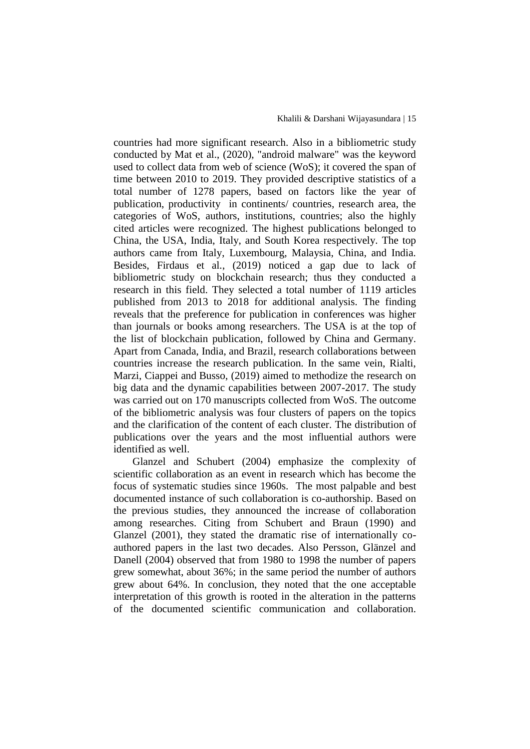countries had more significant research. Also in a bibliometric study conducted by Mat et al., (2020), "android malware" was the keyword used to collect data from web of science (WoS); it covered the span of time between 2010 to 2019. They provided descriptive statistics of a total number of 1278 papers, based on factors like the year of publication, productivity in continents/ countries, research area, the categories of WoS, authors, institutions, countries; also the highly cited articles were recognized. The highest publications belonged to China, the USA, India, Italy, and South Korea respectively. The top authors came from Italy, Luxembourg, Malaysia, China, and India. Besides, Firdaus et al., (2019) noticed a gap due to lack of bibliometric study on blockchain research; thus they conducted a research in this field. They selected a total number of 1119 articles published from 2013 to 2018 for additional analysis. The finding reveals that the preference for publication in conferences was higher than journals or books among researchers. The USA is at the top of the list of blockchain publication, followed by China and Germany. Apart from Canada, India, and Brazil, research collaborations between countries increase the research publication. In the same vein, Rialti, Marzi, Ciappei and Busso, (2019) aimed to methodize the research on big data and the dynamic capabilities between 2007-2017. The study was carried out on 170 manuscripts collected from WoS. The outcome of the bibliometric analysis was four clusters of papers on the topics and the clarification of the content of each cluster. The distribution of publications over the years and the most influential authors were identified as well.

Glanzel and Schubert (2004) emphasize the complexity of scientific collaboration as an event in research which has become the focus of systematic studies since 1960s. The most palpable and best documented instance of such collaboration is co-authorship. Based on the previous studies, they announced the increase of collaboration among researches. Citing from Schubert and Braun (1990) and Glanzel (2001), they stated the dramatic rise of internationally coauthored papers in the last two decades. Also Persson, Glänzel and Danell (2004) observed that from 1980 to 1998 the number of papers grew somewhat, about 36%; in the same period the number of authors grew about 64%. In conclusion, they noted that the one acceptable interpretation of this growth is rooted in the alteration in the patterns of the documented scientific communication and collaboration.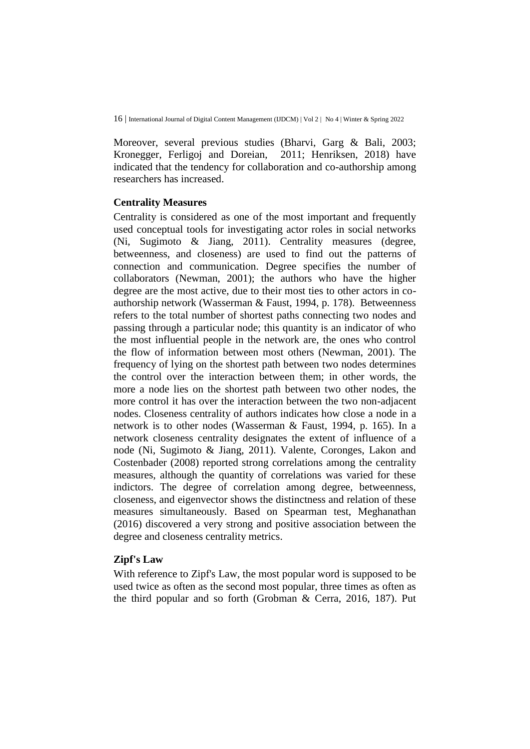Moreover, several previous studies (Bharvi, Garg & Bali, 2003; Kronegger, Ferligoj and Doreian, 2011; Henriksen, 2018) have indicated that the tendency for collaboration and co-authorship among researchers has increased.

#### **Centrality Measures**

Centrality is considered as one of the most important and frequently used conceptual tools for investigating actor roles in social networks (Ni, Sugimoto & Jiang, 2011). Centrality measures (degree, betweenness, and closeness) are used to find out the patterns of connection and communication. Degree specifies the number of collaborators (Newman, 2001); the authors who have the higher degree are the most active, due to their most ties to other actors in coauthorship network (Wasserman & Faust, 1994, p. 178). Betweenness refers to the total number of shortest paths connecting two nodes and passing through a particular node; this quantity is an indicator of who the most influential people in the network are, the ones who control the flow of information between most others (Newman, 2001). The frequency of lying on the shortest path between two nodes determines the control over the interaction between them; in other words, the more a node lies on the shortest path between two other nodes, the more control it has over the interaction between the two non-adjacent nodes. Closeness centrality of authors indicates how close a node in a network is to other nodes (Wasserman & Faust, 1994, p. 165). In a network closeness centrality designates the extent of influence of a node (Ni, Sugimoto & Jiang, 2011). Valente, Coronges, Lakon and Costenbader (2008) reported strong correlations among the centrality measures, although the quantity of correlations was varied for these indictors. The degree of correlation among degree, betweenness, closeness, and eigenvector shows the distinctness and relation of these measures simultaneously. Based on Spearman test, Meghanathan (2016) discovered a very strong and positive association between the degree and closeness centrality metrics.

### **Zipf's Law**

With reference to Zipf's Law, the most popular word is supposed to be used twice as often as the second most popular, three times as often as the third popular and so forth (Grobman & Cerra, 2016, 187). Put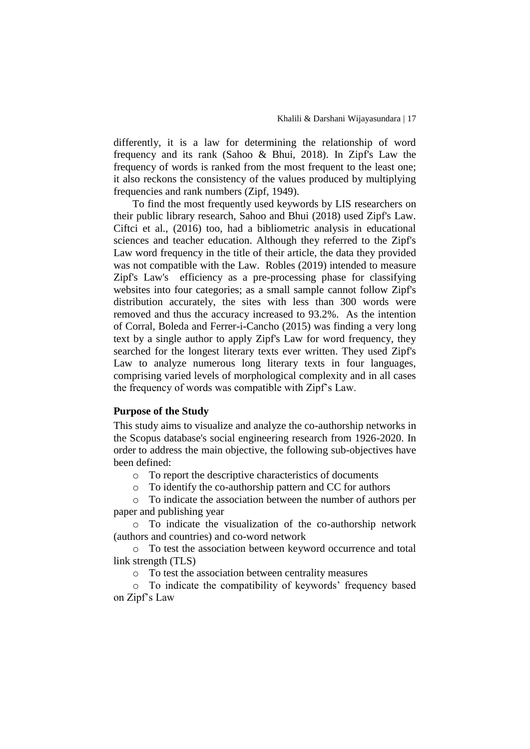differently, it is a law for determining the relationship of word frequency and its rank (Sahoo & Bhui, 2018). In Zipf's Law the frequency of words is ranked from the most frequent to the least one; it also reckons the consistency of the values produced by multiplying frequencies and rank numbers (Zipf, 1949).

To find the most frequently used keywords by LIS researchers on their public library research, Sahoo and Bhui (2018) used Zipf's Law. Ciftci et al., (2016) too, had a bibliometric analysis in educational sciences and teacher education. Although they referred to the Zipf's Law word frequency in the title of their article, the data they provided was not compatible with the Law. Robles (2019) intended to measure Zipf's Law's efficiency as a pre-processing phase for classifying websites into four categories; as a small sample cannot follow Zipf's distribution accurately, the sites with less than 300 words were removed and thus the accuracy increased to 93.2%. As the intention of Corral, Boleda and Ferrer-i-Cancho (2015) was finding a very long text by a single author to apply Zipf's Law for word frequency, they searched for the longest literary texts ever written. They used Zipf's Law to analyze numerous long literary texts in four languages, comprising varied levels of morphological complexity and in all cases the frequency of words was compatible with Zipf's Law.

#### **Purpose of the Study**

This study aims to visualize and analyze the co-authorship networks in the Scopus database's social engineering research from 1926-2020. In order to address the main objective, the following sub-objectives have been defined:

o To report the descriptive characteristics of documents

o To identify the co-authorship pattern and CC for authors

o To indicate the association between the number of authors per paper and publishing year

o To indicate the visualization of the co-authorship network (authors and countries) and co-word network

o To test the association between keyword occurrence and total link strength (TLS)

o To test the association between centrality measures

o To indicate the compatibility of keywords' frequency based on Zipf's Law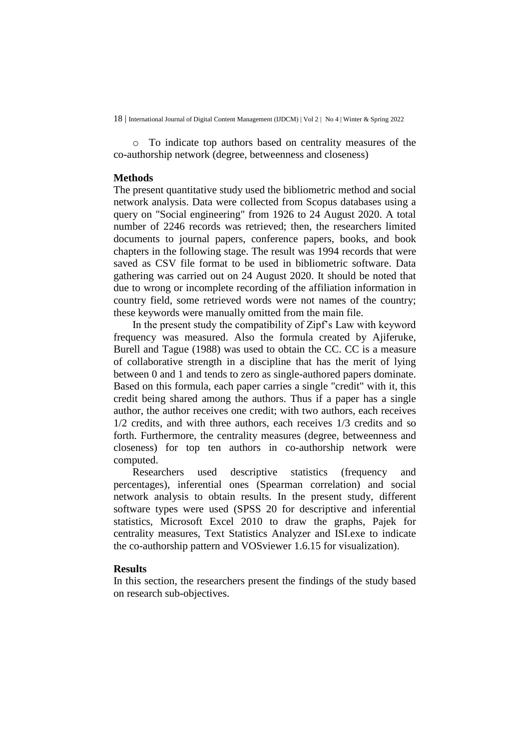o To indicate top authors based on centrality measures of the co-authorship network (degree, betweenness and closeness)

#### **Methods**

The present quantitative study used the bibliometric method and social network analysis. Data were collected from Scopus databases using a query on "Social engineering" from 1926 to 24 August 2020. A total number of 2246 records was retrieved; then, the researchers limited documents to journal papers, conference papers, books, and book chapters in the following stage. The result was 1994 records that were saved as CSV file format to be used in bibliometric software. Data gathering was carried out on 24 August 2020. It should be noted that due to wrong or incomplete recording of the affiliation information in country field, some retrieved words were not names of the country; these keywords were manually omitted from the main file.

In the present study the compatibility of Zipf's Law with keyword frequency was measured. Also the formula created by Ajiferuke, Burell and Tague (1988) was used to obtain the CC. CC is a measure of collaborative strength in a discipline that has the merit of lying between 0 and 1 and tends to zero as single-authored papers dominate. Based on this formula, each paper carries a single "credit" with it, this credit being shared among the authors. Thus if a paper has a single author, the author receives one credit; with two authors, each receives 1/2 credits, and with three authors, each receives 1/3 credits and so forth. Furthermore, the centrality measures (degree, betweenness and closeness) for top ten authors in co-authorship network were computed.

Researchers used descriptive statistics (frequency and percentages), inferential ones (Spearman correlation) and social network analysis to obtain results. In the present study, different software types were used (SPSS 20 for descriptive and inferential statistics, Microsoft Excel 2010 to draw the graphs, Pajek for centrality measures, Text Statistics Analyzer and ISI.exe to indicate the co-authorship pattern and VOSviewer 1.6.15 for visualization).

### **Results**

In this section, the researchers present the findings of the study based on research sub-objectives.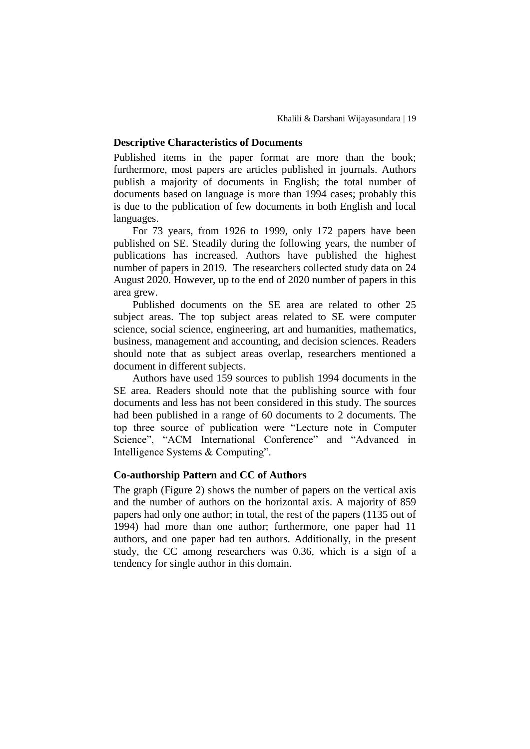#### **Descriptive Characteristics of Documents**

Published items in the paper format are more than the book; furthermore, most papers are articles published in journals. Authors publish a majority of documents in English; the total number of documents based on language is more than 1994 cases; probably this is due to the publication of few documents in both English and local languages.

For 73 years, from 1926 to 1999, only 172 papers have been published on SE. Steadily during the following years, the number of publications has increased. Authors have published the highest number of papers in 2019. The researchers collected study data on 24 August 2020. However, up to the end of 2020 number of papers in this area grew.

Published documents on the SE area are related to other 25 subject areas. The top subject areas related to SE were computer science, social science, engineering, art and humanities, mathematics, business, management and accounting, and decision sciences. Readers should note that as subject areas overlap, researchers mentioned a document in different subjects.

Authors have used 159 sources to publish 1994 documents in the SE area. Readers should note that the publishing source with four documents and less has not been considered in this study. The sources had been published in a range of 60 documents to 2 documents. The top three source of publication were "Lecture note in Computer Science", "ACM International Conference" and "Advanced in Intelligence Systems & Computing".

### **Co-authorship Pattern and CC of Authors**

The graph (Figure 2) shows the number of papers on the vertical axis and the number of authors on the horizontal axis. A majority of 859 papers had only one author; in total, the rest of the papers (1135 out of 1994) had more than one author; furthermore, one paper had 11 authors, and one paper had ten authors. Additionally, in the present study, the CC among researchers was 0.36, which is a sign of a tendency for single author in this domain.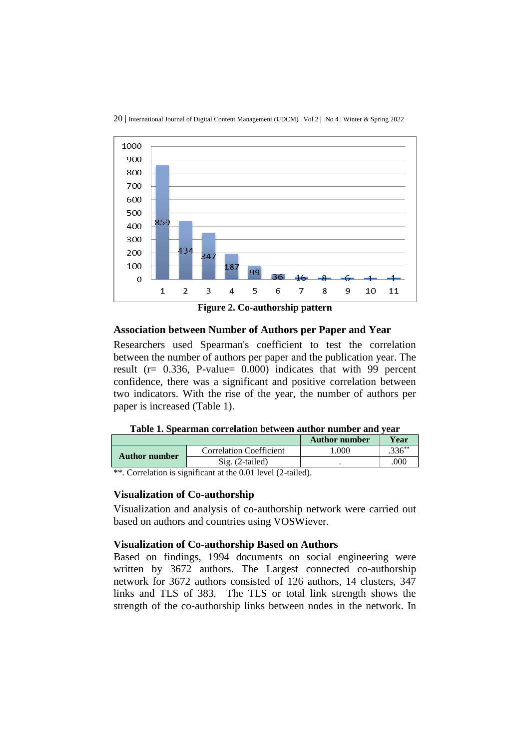



**Figure 2. Co-authorship pattern**

### **Association between Number of Authors per Paper and Year**

Researchers used Spearman's coefficient to test the correlation between the number of authors per paper and the publication year. The result (r= 0.336, P-value= 0.000) indicates that with 99 percent confidence, there was a significant and positive correlation between two indicators. With the rise of the year, the number of authors per paper is increased (Table 1).

**Table 1. Spearman correlation between author number and year**

|               |                                                                                                                                                                                        | <b>Author number</b> | Year      |
|---------------|----------------------------------------------------------------------------------------------------------------------------------------------------------------------------------------|----------------------|-----------|
| Author number | <b>Correlation Coefficient</b>                                                                                                                                                         | .000                 | $.336***$ |
|               | $Sig. (2-tailed)$                                                                                                                                                                      |                      | .000      |
|               | $*$ $\alpha$ $\alpha$ $\alpha$ $\beta$ $\alpha$ $\beta$ $\alpha$ $\beta$ $\beta$ $\alpha$ $\beta$ $\alpha$ $\beta$ $\alpha$ $\beta$ $\alpha$ $\beta$ $\alpha$ $\beta$ $\alpha$ $\beta$ |                      |           |

\*\*. Correlation is significant at the 0.01 level (2-tailed).

#### **Visualization of Co-authorship**

Visualization and analysis of co-authorship network were carried out based on authors and countries using VOSWiever.

#### **Visualization of Co-authorship Based on Authors**

Based on findings, 1994 documents on social engineering were written by 3672 authors. The Largest connected co-authorship network for 3672 authors consisted of 126 authors, 14 clusters, 347 links and TLS of 383. The TLS or total link strength shows the strength of the co-authorship links between nodes in the network. In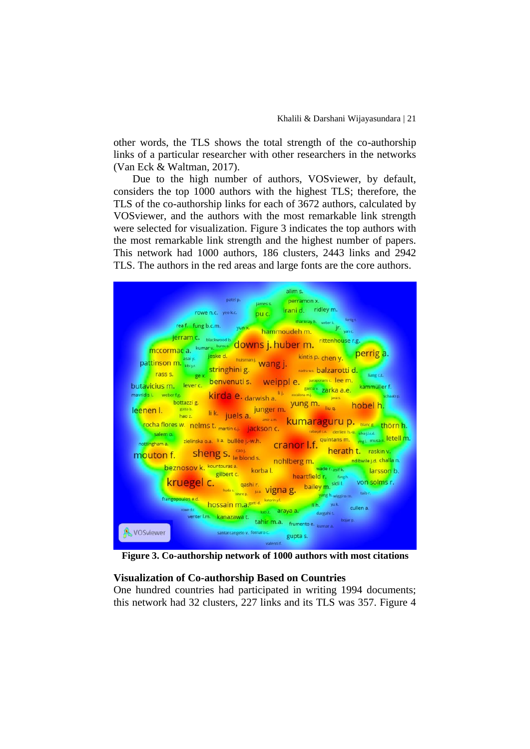other words, the TLS shows the total strength of the co-authorship links of a particular researcher with other researchers in the networks (Van Eck & Waltman, 2017).

Due to the high number of authors, VOSviewer, by default, considers the top 1000 authors with the highest TLS; therefore, the TLS of the co-authorship links for each of 3672 authors, calculated by VOSviewer, and the authors with the most remarkable link strength were selected for visualization. Figure 3 indicates the top authors with the most remarkable link strength and the highest number of papers. This network had 1000 authors, 186 clusters, 2443 links and 2942 TLS. The authors in the red areas and large fonts are the core authors.



**Figure 3. Co-authorship network of 1000 authors with most citations**

#### **Visualization of Co-authorship Based on Countries**

One hundred countries had participated in writing 1994 documents; this network had 32 clusters, 227 links and its TLS was 357. Figure 4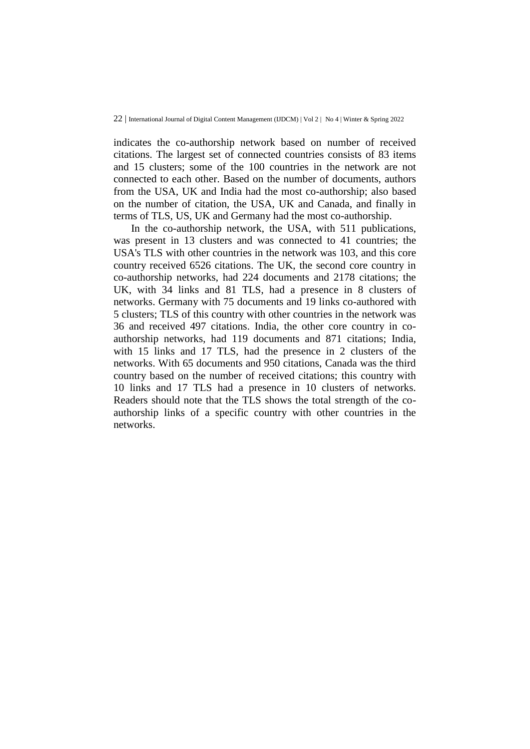indicates the co-authorship network based on number of received citations. The largest set of connected countries consists of 83 items and 15 clusters; some of the 100 countries in the network are not connected to each other. Based on the number of documents, authors from the USA, UK and India had the most co-authorship; also based on the number of citation, the USA, UK and Canada, and finally in terms of TLS, US, UK and Germany had the most co-authorship.

In the co-authorship network, the USA, with 511 publications, was present in 13 clusters and was connected to 41 countries; the USA's TLS with other countries in the network was 103, and this core country received 6526 citations. The UK, the second core country in co-authorship networks, had 224 documents and 2178 citations; the UK, with 34 links and 81 TLS, had a presence in 8 clusters of networks. Germany with 75 documents and 19 links co-authored with 5 clusters; TLS of this country with other countries in the network was 36 and received 497 citations. India, the other core country in coauthorship networks, had 119 documents and 871 citations; India, with 15 links and 17 TLS, had the presence in 2 clusters of the networks. With 65 documents and 950 citations, Canada was the third country based on the number of received citations; this country with 10 links and 17 TLS had a presence in 10 clusters of networks. Readers should note that the TLS shows the total strength of the coauthorship links of a specific country with other countries in the networks.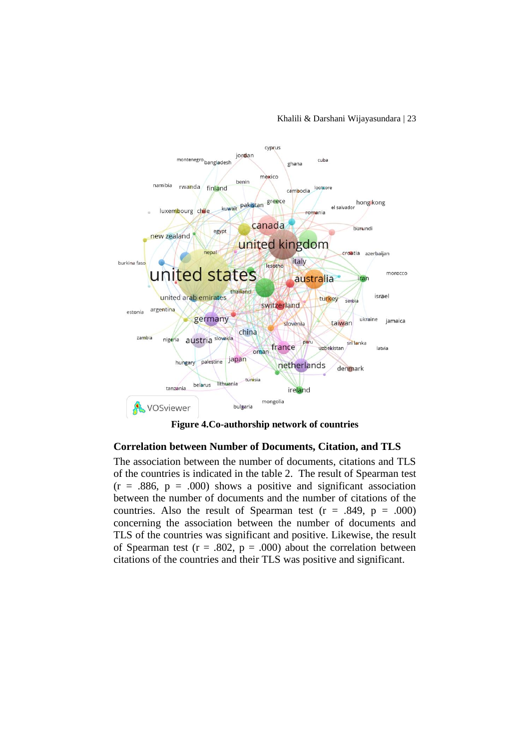

**Figure 4.Co-authorship network of countries**

### **Correlation between Number of Documents, Citation, and TLS**

The association between the number of documents, citations and TLS of the countries is indicated in the table 2. The result of Spearman test  $(r = .886, p = .000)$  shows a positive and significant association between the number of documents and the number of citations of the countries. Also the result of Spearman test ( $r = .849$ ,  $p = .000$ ) concerning the association between the number of documents and TLS of the countries was significant and positive. Likewise, the result of Spearman test ( $r = .802$ ,  $p = .000$ ) about the correlation between citations of the countries and their TLS was positive and significant.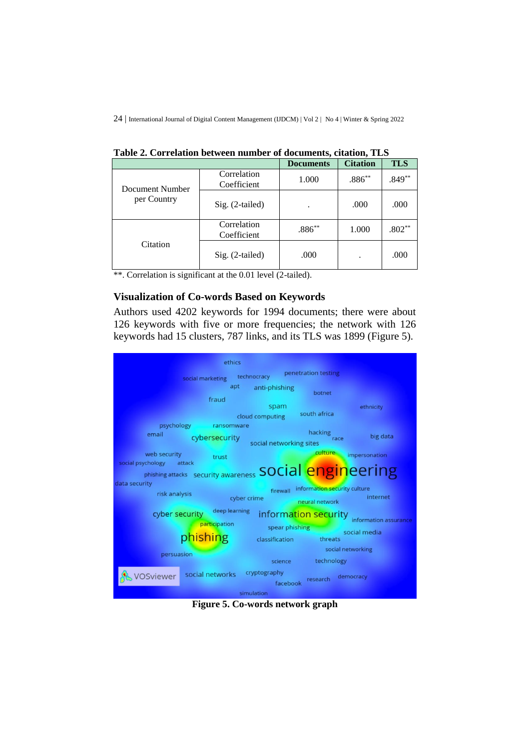|                 |                            | <b>Documents</b> | <b>Citation</b> | <b>TLS</b> |
|-----------------|----------------------------|------------------|-----------------|------------|
| Document Number | Correlation<br>Coefficient | 1.000            | $.886**$        | $.849**$   |
| per Country     | Sig. (2-tailed)            |                  | .000            | .000       |
|                 | Correlation<br>Coefficient | $.886**$         | 1.000           | $.802**$   |
| Citation        | $Sig. (2-tailed)$          | .000             |                 | .000       |

**Table 2. Correlation between number of documents, citation, TLS**

\*\*. Correlation is significant at the 0.01 level (2-tailed).

### **Visualization of Co-words Based on Keywords**

Authors used 4202 keywords for 1994 documents; there were about 126 keywords with five or more frequencies; the network with 126 keywords had 15 clusters, 787 links, and its TLS was 1899 (Figure 5).



**Figure 5. Co-words network graph**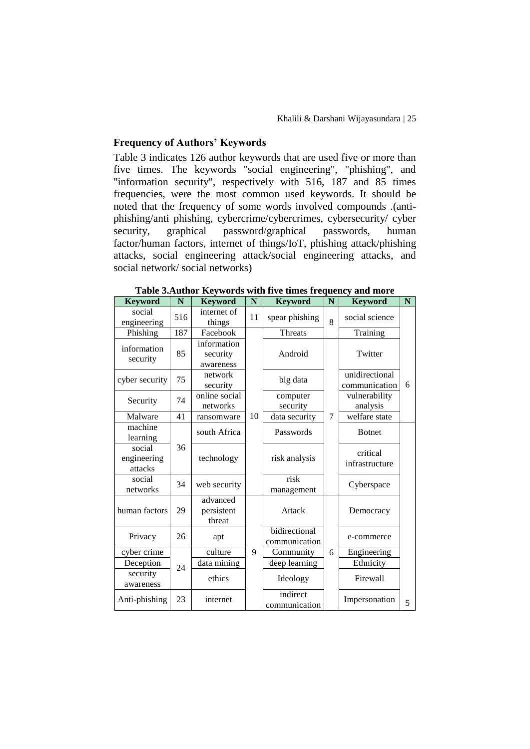### **Frequency of Authors' Keywords**

Table 3 indicates 126 author keywords that are used five or more than five times. The keywords "social engineering", "phishing", and "information security", respectively with 516, 187 and 85 times frequencies, were the most common used keywords. It should be noted that the frequency of some words involved compounds .(antiphishing/anti phishing, cybercrime/cybercrimes, cybersecurity/ cyber security, graphical password/graphical passwords, human factor/human factors, internet of things/IoT, phishing attack/phishing attacks, social engineering attack/social engineering attacks, and social network/ social networks)

| <b>Keyword</b>                   | $\mathbf N$ | <b>Keyword</b>                       | N  | <b>Keyword</b>                 | N | <b>Keyword</b>                  | N |
|----------------------------------|-------------|--------------------------------------|----|--------------------------------|---|---------------------------------|---|
| social<br>engineering            | 516         | internet of<br>things                | 11 | spear phishing                 | 8 | social science                  |   |
| Phishing                         | 187         | Facebook                             |    | Threats                        |   | Training                        |   |
| information<br>security          | 85          | information<br>security<br>awareness |    | Android                        |   | Twitter                         |   |
| cyber security                   | 75          | network<br>security                  |    | big data                       |   | unidirectional<br>communication | 6 |
| Security                         | 74          | online social<br>networks            |    | computer<br>security           |   | vulnerability<br>analysis       |   |
| Malware                          | 41          | ransomware                           | 10 | data security                  | 7 | welfare state                   |   |
| machine<br>learning              |             | south Africa                         |    | Passwords                      |   | <b>B</b> otnet                  |   |
| social<br>engineering<br>attacks | 36          | technology                           |    | risk analysis                  |   | critical<br>infrastructure      |   |
| social<br>networks               | 34          | web security                         |    | risk<br>management             |   | Cyberspace                      |   |
| human factors                    | 29          | advanced<br>persistent<br>threat     |    | Attack                         |   | Democracy                       |   |
| Privacy                          | 26          | apt                                  |    | bidirectional<br>communication |   | e-commerce                      |   |
| cyber crime                      |             | culture                              | 9  | Community                      | 6 | Engineering                     |   |
| Deception                        | 24          | data mining                          |    | deep learning                  |   | Ethnicity                       |   |
| security<br>awareness            |             | ethics                               |    | Ideology                       |   | Firewall                        |   |
| Anti-phishing                    | 23          | internet                             |    | indirect<br>communication      |   | Impersonation                   | 5 |

**Table 3.Author Keywords with five times frequency and more**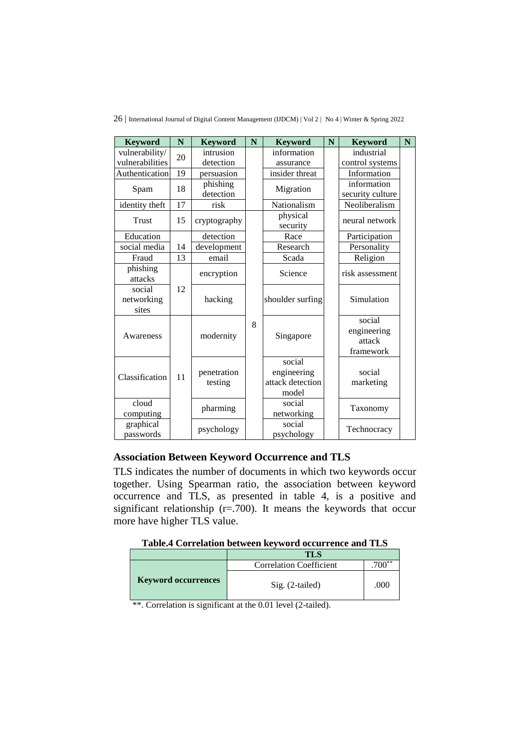26 | International Journal of Digital Content Management (IJDCM) | Vol 2 | No 4 | Winter & Spring 2022

| <b>Keyword</b>                | N  | <b>Keyword</b>         | N | <b>Keyword</b>                                     | $\mathbf N$ | <b>Keyword</b>                               | $\mathbf N$ |
|-------------------------------|----|------------------------|---|----------------------------------------------------|-------------|----------------------------------------------|-------------|
| vulnerability/                | 20 | intrusion              |   | information                                        |             | industrial                                   |             |
| vulnerabilities               |    | detection              |   | assurance                                          |             | control systems                              |             |
| Authentication                | 19 | persuasion             |   | insider threat                                     |             | Information                                  |             |
| Spam                          | 18 | phishing<br>detection  |   | Migration                                          |             | information<br>security culture              |             |
| identity theft                | 17 | risk                   |   | Nationalism                                        |             | Neoliberalism                                |             |
| Trust                         | 15 | cryptography           |   | physical<br>security                               |             | neural network                               |             |
| Education                     |    | detection              |   | Race                                               |             | Participation                                |             |
| social media                  | 14 | development            |   | Research                                           |             | Personality                                  |             |
| Fraud                         | 13 | email                  |   | Scada                                              |             | Religion                                     |             |
| phishing<br>attacks           |    | encryption             |   | Science                                            |             | risk assessment                              |             |
| social<br>networking<br>sites | 12 | hacking                |   | shoulder surfing                                   |             | Simulation                                   |             |
| Awareness                     |    | modernity              | 8 | Singapore                                          |             | social<br>engineering<br>attack<br>framework |             |
| Classification                | 11 | penetration<br>testing |   | social<br>engineering<br>attack detection<br>model |             | social<br>marketing                          |             |
| cloud<br>computing            |    | pharming               |   | social<br>networking                               |             | Taxonomy                                     |             |
| graphical<br>passwords        |    | psychology             |   | social<br>psychology                               |             | Technocracy                                  |             |

# **Association Between Keyword Occurrence and TLS**

TLS indicates the number of documents in which two keywords occur together. Using Spearman ratio, the association between keyword occurrence and TLS, as presented in table 4, is a positive and significant relationship  $(r=.700)$ . It means the keywords that occur more have higher TLS value.

|  | Table.4 Correlation between keyword occurrence and TLS |
|--|--------------------------------------------------------|
|--|--------------------------------------------------------|

|                            | <b>TLS</b>                     |          |
|----------------------------|--------------------------------|----------|
|                            | <b>Correlation Coefficient</b> | $.700**$ |
| <b>Keyword occurrences</b> | Sig. (2-tailed)                | .000     |

\*\*. Correlation is significant at the 0.01 level (2-tailed).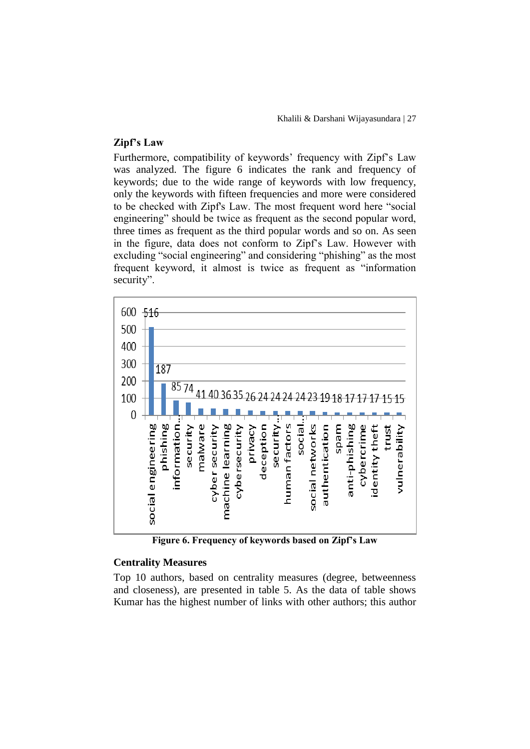### **Zipf's Law**

Furthermore, compatibility of keywords' frequency with Zipf's Law was analyzed. The figure 6 indicates the rank and frequency of keywords; due to the wide range of keywords with low frequency, only the keywords with fifteen frequencies and more were considered to be checked with Zipf's Law. The most frequent word here "social engineering" should be twice as frequent as the second popular word, three times as frequent as the third popular words and so on. As seen in the figure, data does not conform to Zipf's Law. However with excluding "social engineering" and considering "phishing" as the most frequent keyword, it almost is twice as frequent as "information security".



**Figure 6. Frequency of keywords based on Zipf's Law**

#### **Centrality Measures**

Top 10 authors, based on centrality measures (degree, betweenness and closeness), are presented in table 5. As the data of table shows Kumar has the highest number of links with other authors; this author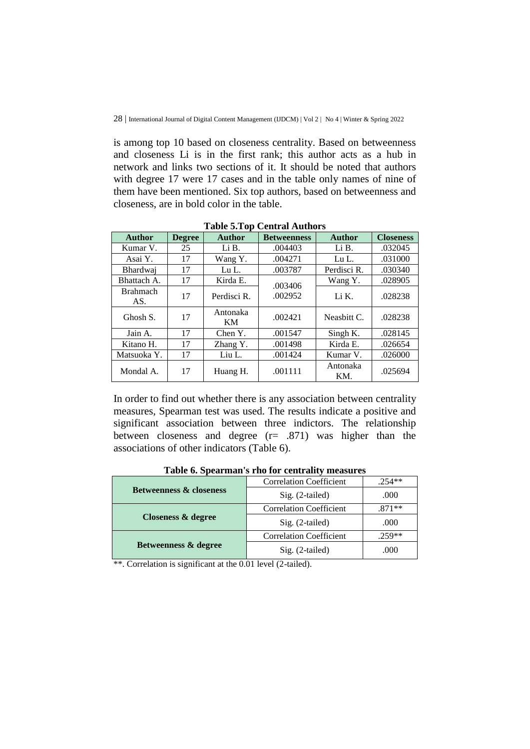is among top 10 based on closeness centrality. Based on betweenness and closeness Li is in the first rank; this author acts as a hub in network and links two sections of it. It should be noted that authors with degree 17 were 17 cases and in the table only names of nine of them have been mentioned. Six top authors, based on betweenness and closeness, are in bold color in the table.

| <b>Author</b>          | <b>Degree</b> | <b>Author</b>   | <b>Betweenness</b> | <b>Author</b>   | <b>Closeness</b> |
|------------------------|---------------|-----------------|--------------------|-----------------|------------------|
| Kumar V.               | 25            | Li B.           | .004403            | Li B.           | .032045          |
| Asai Y.                | 17            | Wang Y.         | .004271            | LuL             | .031000          |
| <b>Bhardwaj</b>        | 17            | Lu L.           | .003787            | Perdisci R.     | .030340          |
| Bhattach A.            | 17            | Kirda E.        | .003406            | Wang Y.         | .028905          |
| <b>Brahmach</b><br>AS. | 17            | Perdisci R.     | .002952            | Li K.           | .028238          |
| Ghosh S.               | 17            | Antonaka<br>KM. | .002421            | Neashitt C.     | .028238          |
| Jain A.                | 17            | Chen Y.         | .001547            | Singh K.        | .028145          |
| Kitano H.              | 17            | Zhang Y.        | .001498            | Kirda E.        | .026654          |
| Matsuoka Y.            | 17            | Liu L.          | .001424            | Kumar V.        | .026000          |
| Mondal A.              | 17            | Huang H.        | .001111            | Antonaka<br>KM. | .025694          |

**Table 5.Top Central Authors**

In order to find out whether there is any association between centrality measures, Spearman test was used. The results indicate a positive and significant association between three indictors. The relationship between closeness and degree (r= .871) was higher than the associations of other indicators (Table 6).

| Tuble of Dipenthium 5 The Tell centrum ( incubated |                                |          |  |  |  |
|----------------------------------------------------|--------------------------------|----------|--|--|--|
|                                                    | <b>Correlation Coefficient</b> | $.254**$ |  |  |  |
| <b>Betweenness &amp; closeness</b>                 | Sig. (2-tailed)                | .000     |  |  |  |
|                                                    | <b>Correlation Coefficient</b> | $.871**$ |  |  |  |
| <b>Closeness &amp; degree</b>                      | Sig. (2-tailed)                | .000     |  |  |  |
|                                                    | <b>Correlation Coefficient</b> | $.259**$ |  |  |  |
| Betweenness & degree                               | Sig. (2-tailed)                | .000     |  |  |  |

**Table 6. Spearman's rho for centrality measures**

\*\*. Correlation is significant at the 0.01 level (2-tailed).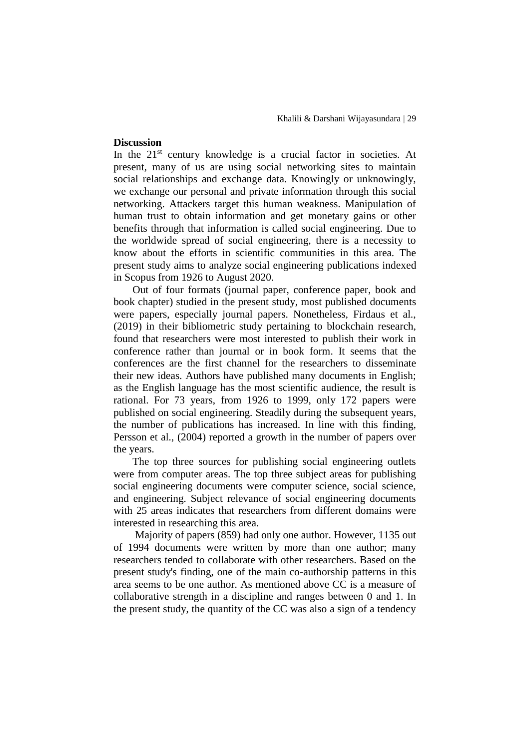#### **Discussion**

In the  $21<sup>st</sup>$  century knowledge is a crucial factor in societies. At present, many of us are using social networking sites to maintain social relationships and exchange data. Knowingly or unknowingly, we exchange our personal and private information through this social networking. Attackers target this human weakness. Manipulation of human trust to obtain information and get monetary gains or other benefits through that information is called social engineering. Due to the worldwide spread of social engineering, there is a necessity to know about the efforts in scientific communities in this area. The present study aims to analyze social engineering publications indexed in Scopus from 1926 to August 2020.

Out of four formats (journal paper, conference paper, book and book chapter) studied in the present study, most published documents were papers, especially journal papers. Nonetheless, Firdaus et al., (2019) in their bibliometric study pertaining to blockchain research, found that researchers were most interested to publish their work in conference rather than journal or in book form. It seems that the conferences are the first channel for the researchers to disseminate their new ideas. Authors have published many documents in English; as the English language has the most scientific audience, the result is rational. For 73 years, from 1926 to 1999, only 172 papers were published on social engineering. Steadily during the subsequent years, the number of publications has increased. In line with this finding, Persson et al., (2004) reported a growth in the number of papers over the years.

The top three sources for publishing social engineering outlets were from computer areas. The top three subject areas for publishing social engineering documents were computer science, social science, and engineering. Subject relevance of social engineering documents with 25 areas indicates that researchers from different domains were interested in researching this area.

Majority of papers (859) had only one author. However, 1135 out of 1994 documents were written by more than one author; many researchers tended to collaborate with other researchers. Based on the present study's finding, one of the main co-authorship patterns in this area seems to be one author. As mentioned above CC is a measure of collaborative strength in a discipline and ranges between 0 and 1. In the present study, the quantity of the CC was also a sign of a tendency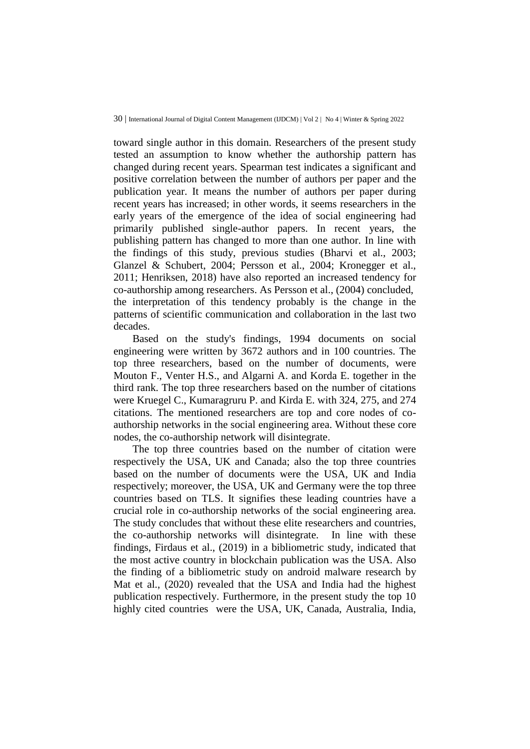toward single author in this domain. Researchers of the present study tested an assumption to know whether the authorship pattern has changed during recent years. Spearman test indicates a significant and positive correlation between the number of authors per paper and the publication year. It means the number of authors per paper during recent years has increased; in other words, it seems researchers in the early years of the emergence of the idea of social engineering had primarily published single-author papers. In recent years, the publishing pattern has changed to more than one author. In line with the findings of this study, previous studies (Bharvi et al., 2003; Glanzel & Schubert, 2004; Persson et al., 2004; Kronegger et al., 2011; Henriksen, 2018) have also reported an increased tendency for co-authorship among researchers. As Persson et al., (2004) concluded, the interpretation of this tendency probably is the change in the patterns of scientific communication and collaboration in the last two decades.

Based on the study's findings, 1994 documents on social engineering were written by 3672 authors and in 100 countries. The top three researchers, based on the number of documents, were Mouton F., Venter H.S., and Algarni A. and Korda E. together in the third rank. The top three researchers based on the number of citations were Kruegel C., Kumaragruru P. and Kirda E. with 324, 275, and 274 citations. The mentioned researchers are top and core nodes of coauthorship networks in the social engineering area. Without these core nodes, the co-authorship network will disintegrate.

The top three countries based on the number of citation were respectively the USA, UK and Canada; also the top three countries based on the number of documents were the USA, UK and India respectively; moreover, the USA, UK and Germany were the top three countries based on TLS. It signifies these leading countries have a crucial role in co-authorship networks of the social engineering area. The study concludes that without these elite researchers and countries, the co-authorship networks will disintegrate. In line with these findings, Firdaus et al., (2019) in a bibliometric study, indicated that the most active country in blockchain publication was the USA. Also the finding of a bibliometric study on android malware research by Mat et al., (2020) revealed that the USA and India had the highest publication respectively. Furthermore, in the present study the top 10 highly cited countries were the USA, UK, Canada, Australia, India,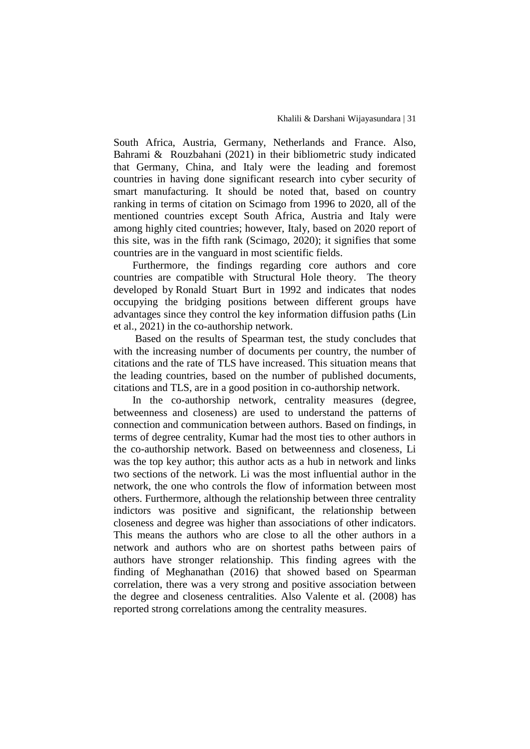South Africa, Austria, Germany, Netherlands and France. Also, Bahrami & Rouzbahani (2021) in their bibliometric study indicated that Germany, China, and Italy were the leading and foremost countries in having done significant research into cyber security of smart manufacturing. It should be noted that, based on country ranking in terms of citation on Scimago from 1996 to 2020, all of the mentioned countries except South Africa, Austria and Italy were among highly cited countries; however, Italy, based on 2020 report of this site, was in the fifth rank (Scimago, 2020); it signifies that some countries are in the vanguard in most scientific fields.

Furthermore, the findings regarding core authors and core countries are compatible with Structural Hole theory. The theory developed by Ronald Stuart Burt in 1992 and indicates that nodes occupying the bridging positions between different groups have advantages since they control the key information diffusion paths (Lin et al., 2021) in the co-authorship network.

Based on the results of Spearman test, the study concludes that with the increasing number of documents per country, the number of citations and the rate of TLS have increased. This situation means that the leading countries, based on the number of published documents, citations and TLS, are in a good position in co-authorship network.

In the co-authorship network, centrality measures (degree, betweenness and closeness) are used to understand the patterns of connection and communication between authors. Based on findings, in terms of degree centrality, Kumar had the most ties to other authors in the co-authorship network. Based on betweenness and closeness, Li was the top key author; this author acts as a hub in network and links two sections of the network. Li was the most influential author in the network, the one who controls the flow of information between most others. Furthermore, although the relationship between three centrality indictors was positive and significant, the relationship between closeness and degree was higher than associations of other indicators. This means the authors who are close to all the other authors in a network and authors who are on shortest paths between pairs of authors have stronger relationship. This finding agrees with the finding of Meghanathan (2016) that showed based on Spearman correlation, there was a very strong and positive association between the degree and closeness centralities. Also Valente et al. (2008) has reported strong correlations among the centrality measures.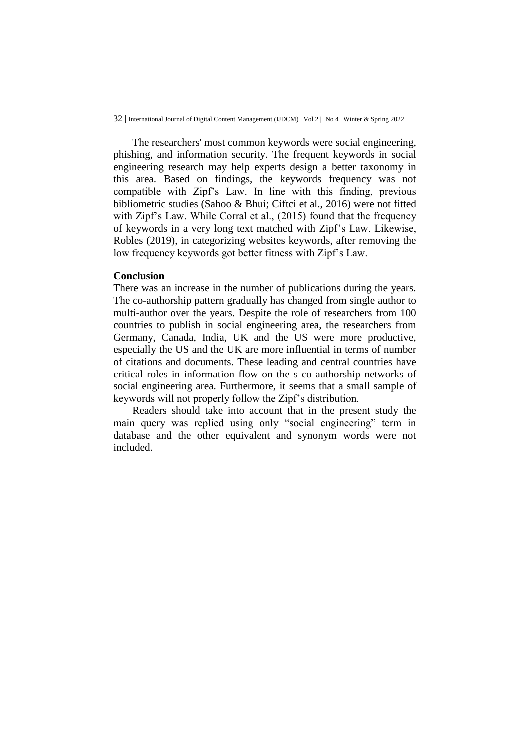The researchers' most common keywords were social engineering, phishing, and information security. The frequent keywords in social engineering research may help experts design a better taxonomy in this area. Based on findings, the keywords frequency was not compatible with Zipf's Law. In line with this finding, previous bibliometric studies (Sahoo & Bhui; Ciftci et al., 2016) were not fitted with Zipf's Law. While Corral et al., (2015) found that the frequency of keywords in a very long text matched with Zipf's Law. Likewise, Robles (2019), in categorizing websites keywords, after removing the low frequency keywords got better fitness with Zipf's Law.

#### **Conclusion**

There was an increase in the number of publications during the years. The co-authorship pattern gradually has changed from single author to multi-author over the years. Despite the role of researchers from 100 countries to publish in social engineering area, the researchers from Germany, Canada, India, UK and the US were more productive, especially the US and the UK are more influential in terms of number of citations and documents. These leading and central countries have critical roles in information flow on the s co-authorship networks of social engineering area. Furthermore, it seems that a small sample of keywords will not properly follow the Zipf's distribution.

Readers should take into account that in the present study the main query was replied using only "social engineering" term in database and the other equivalent and synonym words were not included.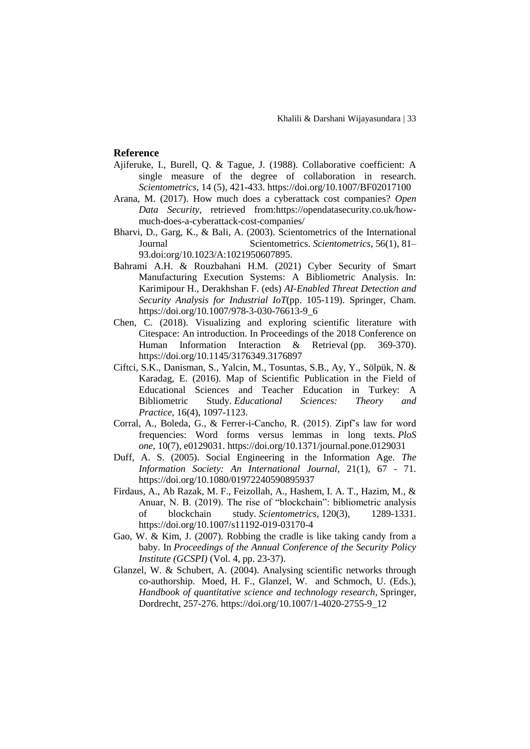#### **Reference**

- Ajiferuke, I., Burell, Q. & Tague, J. (1988). Collaborative coefficient: A single measure of the degree of collaboration in research. *Scientometrics*, 14 (5), 421-433.<https://doi.org/10.1007/BF02017100>
- Arana, M. (2017). How much does a cyberattack cost companies? *Open Data Security*, retrieved from:https://opendatasecurity.co.uk/howmuch-does-a-cyberattack-cost-companies/
- Bharvi, D., Garg, K., & Bali, A. (2003). Scientometrics of the International Journal Scientometrics. *Scientometrics*, 56(1), 81– 93[.doi:org/10.1023/A:1021950607895.](https://doi.org/10.1023/A:1021950607895)
- Bahrami A.H. & Rouzbahani H.M. (2021) Cyber Security of Smart Manufacturing Execution Systems: A Bibliometric Analysis. In: Karimipour H., Derakhshan F. (eds) *AI-Enabled Threat Detection and Security Analysis for Industrial IoT*(pp. 105-119). Springer, Cham. https://doi.org/10.1007/978-3-030-76613-9\_6
- Chen, C. (2018). Visualizing and exploring scientific literature with Citespace: An introduction. In Proceedings of the 2018 Conference on Human Information Interaction & Retrieval (pp. 369-370). <https://doi.org/10.1145/3176349.3176897>
- Ciftci, S.K., Danisman, S., Yalcin, M., Tosuntas, S.B., Ay, Y., Sölpük, N. & Karadag, E. (2016). Map of Scientific Publication in the Field of Educational Sciences and Teacher Education in Turkey: A Bibliometric Study. *Educational Sciences: Theory and Practice*, 16(4), 1097-1123.
- Corral, A., Boleda, G., & Ferrer-i-Cancho, R. (2015). Zipf's law for word frequencies: Word forms versus lemmas in long texts. *PloS one*, 10(7), e0129031.<https://doi.org/10.1371/journal.pone.0129031>
- Duff, A. S. (2005). Social Engineering in the Information Age. *The Information Society: An International Journal*, 21(1), 67 - 71. <https://doi.org/10.1080/01972240590895937>
- Firdaus, A., Ab Razak, M. F., Feizollah, A., Hashem, I. A. T., Hazim, M., & Anuar, N. B. (2019). The rise of "blockchain": bibliometric analysis of blockchain study. *Scientometrics*, 120(3), 1289-1331. <https://doi.org/10.1007/s11192-019-03170-4>
- Gao, W. & Kim, J. (2007). Robbing the cradle is like taking candy from a baby. In *Proceedings of the Annual Conference of the Security Policy Institute (GCSPI)* (Vol. 4, pp. 23-37).
- Glanzel, W. & Schubert, A. (2004). Analysing scientific networks through co-authorship. Moed, H. F., Glanzel, W. and Schmoch, U. (Eds.), *Handbook of quantitative science and technology research,* Springer, Dordrecht, 257-276. [https://doi.org/10.1007/1-4020-2755-9\\_12](https://doi.org/10.1007/1-4020-2755-9_12)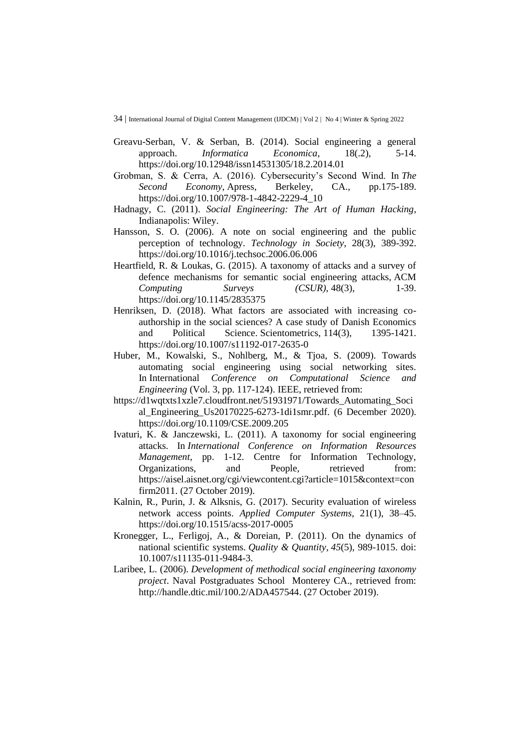- Greavu-Serban, V. & Serban, B. (2014). Social engineering a general approach. *Informatica Economica*, 18(.2), 5-14. <https://doi.org/10.12948/issn14531305/18.2.2014.01>
- Grobman, S. & Cerra, A. (2016). Cybersecurity's Second Wind. In *The Second Economy*, Apress, Berkeley, CA., pp.175-189. [https://doi.org/10.1007/978-1-4842-2229-4\\_10](https://doi.org/10.1007/978-1-4842-2229-4_10)
- Hadnagy, C. (2011). *Social Engineering: The Art of Human Hacking*, Indianapolis: Wiley.
- Hansson, S. O. (2006). A note on social engineering and the public perception of technology. *Technology in Society*, 28(3), 389-392. <https://doi.org/10.1016/j.techsoc.2006.06.006>
- Heartfield, R. & Loukas, G. (2015). A taxonomy of attacks and a survey of defence mechanisms for semantic social engineering attacks, ACM *Computing Surveys (CSUR),* 48(3), 1-39. <https://doi.org/10.1145/2835375>
- Henriksen, D. (2018). What factors are associated with increasing coauthorship in the social sciences? A case study of Danish Economics and Political Science. Scientometrics, 114(3), 1395-1421. <https://doi.org/10.1007/s11192-017-2635-0>
- Huber, M., Kowalski, S., Nohlberg, M., & Tjoa, S. (2009). Towards automating social engineering using social networking sites. In International *Conference on Computational Science and Engineering* (Vol. 3, pp. 117-124). IEEE, retrieved from:
- [https://d1wqtxts1xzle7.cloudfront.net/51931971/Towards\\_Automating\\_Soci](https://d1wqtxts1xzle7.cloudfront.net/51931971/Towards_Automating_Social_Engineering_Us20170225-6273-1di1smr.pdf?1488035676=&response-content-disposition=inline%3B+filename%3DTowards_automating_social_engineering_us.pdf&Expires=1615039183&Signature=fHK2M0MHjZlcvgK8tNA0PlbtHQyYod~~TqijOLULEGkJBQAWYRcufSGVDvGdohCH5pGD~B5FohkXR99MQptgnLDPEu9mktMDFzeUhyMjXE1sLyUbcGOCiWAqOu1WcaO-7bykTlkddh97j4afpmvujKib6~U27~rZ4Ghy-Lq5AVh2vsJkYT2qAnPpsTX6YabmgO0Ts5aHcPQNtxoFWl94lLKZ6eKahMiVsV3LiW~q5J2LkZkyKwXDdWYXJUhhdEuGQsPE09NKUnAVRXRvGk198gCsQ-0JGASdkeWfiMpGopWhJx~LSRG5VyXueBbk-akHqOjVjxwc8FSf6JKzuZynGw__&Key-Pair-Id=APKAJLOHF5GGSLRBV4ZA) [al\\_Engineering\\_Us20170225-6273-1di1smr.pdf.](https://d1wqtxts1xzle7.cloudfront.net/51931971/Towards_Automating_Social_Engineering_Us20170225-6273-1di1smr.pdf?1488035676=&response-content-disposition=inline%3B+filename%3DTowards_automating_social_engineering_us.pdf&Expires=1615039183&Signature=fHK2M0MHjZlcvgK8tNA0PlbtHQyYod~~TqijOLULEGkJBQAWYRcufSGVDvGdohCH5pGD~B5FohkXR99MQptgnLDPEu9mktMDFzeUhyMjXE1sLyUbcGOCiWAqOu1WcaO-7bykTlkddh97j4afpmvujKib6~U27~rZ4Ghy-Lq5AVh2vsJkYT2qAnPpsTX6YabmgO0Ts5aHcPQNtxoFWl94lLKZ6eKahMiVsV3LiW~q5J2LkZkyKwXDdWYXJUhhdEuGQsPE09NKUnAVRXRvGk198gCsQ-0JGASdkeWfiMpGopWhJx~LSRG5VyXueBbk-akHqOjVjxwc8FSf6JKzuZynGw__&Key-Pair-Id=APKAJLOHF5GGSLRBV4ZA) (6 December 2020). <https://doi.org/10.1109/CSE.2009.205>
- Ivaturi, K. & Janczewski, L. (2011). A taxonomy for social engineering attacks. In *International Conference on Information Resources Management*, pp. 1-12. Centre for Information Technology, Organizations, and People, retrieved from: [https://aisel.aisnet.org/cgi/viewcontent.cgi?article=1015&context=con](https://aisel.aisnet.org/cgi/viewcontent.cgi?article=1015&context=confirm2011) [firm2011.](https://aisel.aisnet.org/cgi/viewcontent.cgi?article=1015&context=confirm2011) (27 October 2019).
- Kalnin, R., Purin, J. & Alksnis, G. (2017). Security evaluation of wireless network access points. *Applied Computer Systems*, 21(1), 38–45. <https://doi.org/10.1515/acss-2017-0005>
- Kronegger, L., Ferligoj, A., & Doreian, P. (2011). On the dynamics of national scientific systems. *Quality & Quantity*, *45*(5), 989-1015. doi: 10.1007/s11135-011-9484-3.
- Laribee, L. (2006). *Development of methodical social engineering taxonomy project*. Naval Postgraduates School Monterey CA., retrieved from: [http://handle.dtic.mil/100.2/ADA457544.](http://handle.dtic.mil/100.2/ADA457544) (27 October 2019).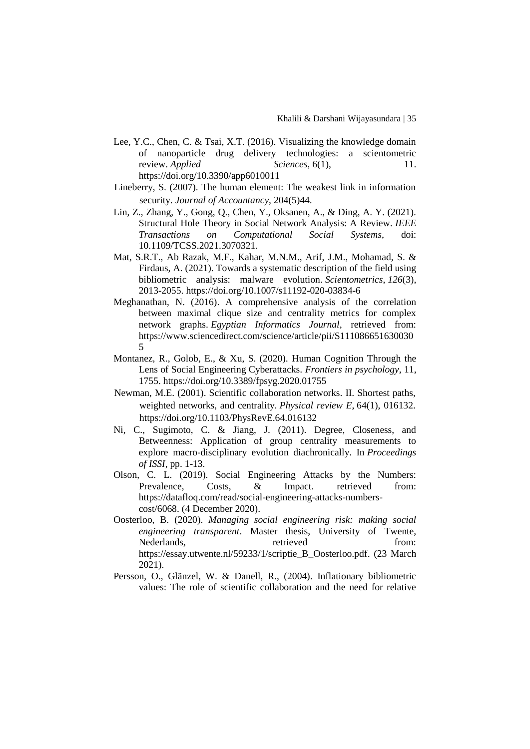- Lee, Y.C., Chen, C. & Tsai, X.T. (2016). Visualizing the knowledge domain of nanoparticle drug delivery technologies: a scientometric review. *Applied* Sciences, 6(1), 11. <https://doi.org/10.3390/app6010011>
- Lineberry, S. (2007). The human element: The weakest link in information security. *Journal of Accountancy*, 204(5)44.
- Lin, Z., Zhang, Y., Gong, Q., Chen, Y., Oksanen, A., & Ding, A. Y. (2021). Structural Hole Theory in Social Network Analysis: A Review. *IEEE Transactions on Computational Social Systems*, doi: 10.1109/TCSS.2021.3070321.
- Mat, S.R.T., Ab Razak, M.F., Kahar, M.N.M., Arif, J.M., Mohamad, S. & Firdaus, A. (2021). Towards a systematic description of the field using bibliometric analysis: malware evolution. *Scientometrics*, *126*(3), 2013-2055. <https://doi.org/10.1007/s11192-020-03834-6>
- Meghanathan, N. (2016). A comprehensive analysis of the correlation between maximal clique size and centrality metrics for complex network graphs. *Egyptian Informatics Journal*, retrieved from: https://www.sciencedirect.com/science/article/pii/S111086651630030 5
- Montanez, R., Golob, E., & Xu, S. (2020). Human Cognition Through the Lens of Social Engineering Cyberattacks. *Frontiers in psychology*, 11, 1755.<https://doi.org/10.3389/fpsyg.2020.01755>
- Newman, M.E. (2001). Scientific collaboration networks. II. Shortest paths, weighted networks, and centrality. *Physical review E*, 64(1), 016132. <https://doi.org/10.1103/PhysRevE.64.016132>
- Ni, C., Sugimoto, C. & Jiang, J. (2011). Degree, Closeness, and Betweenness: Application of group centrality measurements to explore macro-disciplinary evolution diachronically. In *Proceedings of ISSI*, pp. 1-13.
- Olson, C. L. (2019). Social Engineering Attacks by the Numbers: Prevalence, Costs, & Impact. retrieved from: [https://datafloq.com/read/social-engineering-attacks-numbers](https://datafloq.com/read/social-engineering-attacks-numbers-cost/6068)[cost/6068.](https://datafloq.com/read/social-engineering-attacks-numbers-cost/6068) (4 December 2020).
- Oosterloo, B. (2020). *Managing social engineering risk: making social engineering transparent*. Master thesis, University of Twente, Nederlands, retrieved from: [https://essay.utwente.nl/59233/1/scriptie\\_B\\_Oosterloo.pdf.](https://essay.utwente.nl/59233/1/scriptie_B_Oosterloo.pdf) (23 March 2021).
- Persson, O., Glänzel, W. & Danell, R., (2004). Inflationary bibliometric values: The role of scientific collaboration and the need for relative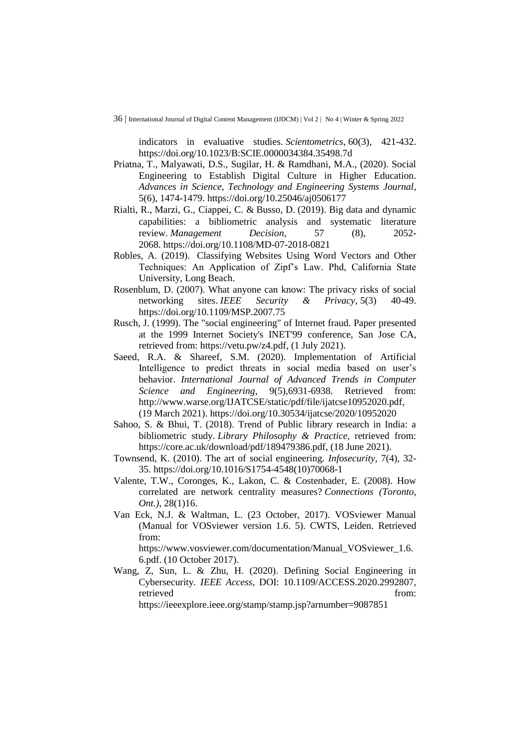indicators in evaluative studies. *Scientometrics*, 60(3), 421-432. <https://doi.org/10.1023/B:SCIE.0000034384.35498.7d>

- Priatna, T., Malyawati, D.S., Sugilar, H. & Ramdhani, M.A., (2020). Social Engineering to Establish Digital Culture in Higher Education. *Advances in Science, Technology and Engineering Systems Journal*, 5(6), 1474-1479.<https://doi.org/10.25046/aj0506177>
- Rialti, R., Marzi, G., Ciappei, C. & Busso, D. (2019). Big data and dynamic capabilities: a bibliometric analysis and systematic literature review. *Management Decision*, 57 (8), 2052- 2068. <https://doi.org/10.1108/MD-07-2018-0821>
- Robles, A. (2019). Classifying Websites Using Word Vectors and Other Techniques: An Application of Zipf's Law. Phd, California State University, Long Beach.
- Rosenblum, D. (2007). What anyone can know: The privacy risks of social networking sites. *IEEE Security & Privacy*, 5(3) 40-49. <https://doi.org/10.1109/MSP.2007.75>
- Rusch, J. (1999). The "social engineering" of Internet fraud. Paper presented at the 1999 Internet Society's INET'99 conference, San Jose CA, retrieved from: [https://vetu.pw/z4.pdf,](https://vetu.pw/z4.pdf) (1 July 2021).
- Saeed, R.A. & Shareef, S.M. (2020). Implementation of Artificial Intelligence to predict threats in social media based on user's behavior. *International Journal of Advanced Trends in Computer Science and Engineering*, 9(5),6931-6938. Retrieved from: [http://www.warse.org/IJATCSE/static/pdf/file/ijatcse10952020.pdf,](http://www.warse.org/IJATCSE/static/pdf/file/ijatcse10952020.pdf) (19 March 2021).<https://doi.org/10.30534/ijatcse/2020/10952020>
- Sahoo, S. & Bhui, T. (2018). Trend of Public library research in India: a bibliometric study. *Library Philosophy & Practice*, retrieved from: [https://core.ac.uk/download/pdf/189479386.pdf,](https://core.ac.uk/download/pdf/189479386.pdf) (18 June 2021).
- Townsend, K. (2010). The art of social engineering. *Infosecurity*, 7(4), 32- 35. [https://doi.org/10.1016/S1754-4548\(10\)70068-1](https://doi.org/10.1016/S1754-4548(10)70068-1)
- Valente, T.W., Coronges, K., Lakon, C. & Costenbader, E. (2008). How correlated are network centrality measures? *Connections (Toronto, Ont.)*, 28(1)16.
- Van Eck, N.J. & Waltman, L. (23 October, 2017). VOSviewer Manual (Manual for VOSviewer version 1.6. 5). CWTS, Leiden. Retrieved from:

https://www.vosviewer.com/documentation/Manual\_VOSviewer\_1.6. 6.pdf. (10 October 2017).

Wang, Z, Sun, L. & Zhu, H. (2020). Defining Social Engineering in Cybersecurity*. IEEE Access*, DOI: 10.1109/ACCESS.2020.2992807, retrieved from:

<https://ieeexplore.ieee.org/stamp/stamp.jsp?arnumber=9087851>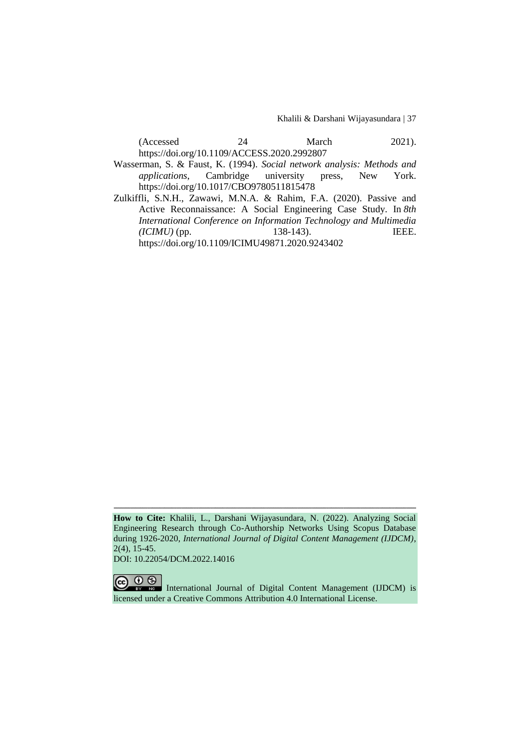Khalili & Darshani Wijayasundara | 37

| (Accessed)                                  | March | $2021$ ). |
|---------------------------------------------|-------|-----------|
| https://doi.org/10.1109/ACCESS.2020.2992807 |       |           |

Wasserman, S. & Faust, K. (1994). *Social network analysis: Methods and applications*, Cambridge university press, New York. <https://doi.org/10.1017/CBO9780511815478>

Zulkiffli, S.N.H., Zawawi, M.N.A. & Rahim, F.A. (2020). Passive and Active Reconnaissance: A Social Engineering Case Study. In *8th International Conference on Information Technology and Multimedia (ICIMU)* (pp. 138-143). IEEE. https://doi.org/10.1109/ICIMU49871.2020.9243402

**How to Cite:** Khalili, L., Darshani Wijayasundara, N. (2022). Analyzing Social Engineering Research through Co-Authorship Networks Using Scopus Database during 1926-2020, *International Journal of Digital Content Management (IJDCM)*, 2(4), 15-45.

ـــــــــــــــــــــــــــــــــــــــــــــــــــــــــــــــــــــــــــــــــــــــــــــــــــــــــــــــــــــــــــــ

DOI: 10.22054/DCM.2022.14016

 $\odot$ International Journal of Digital Content Management (IJDCM) is licensed under a Creative Commons Attribution 4.0 International License.